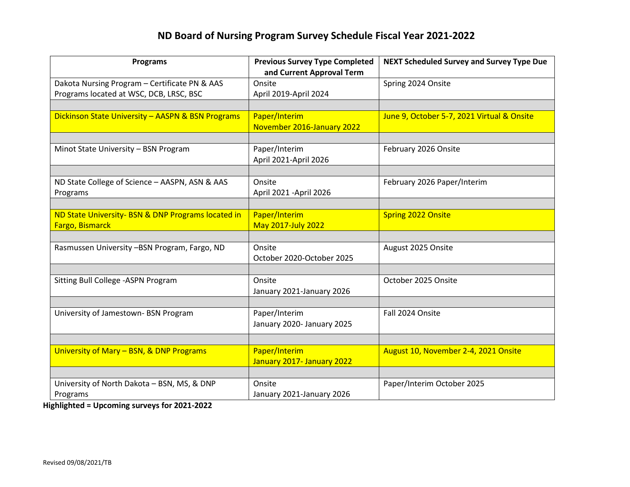# **ND Board of Nursing Program Survey Schedule Fiscal Year 2021-2022**

| <b>Programs</b>                                                       | <b>Previous Survey Type Completed</b><br>and Current Approval Term | <b>NEXT Scheduled Survey and Survey Type Due</b> |
|-----------------------------------------------------------------------|--------------------------------------------------------------------|--------------------------------------------------|
| Dakota Nursing Program - Certificate PN & AAS                         | Onsite                                                             | Spring 2024 Onsite                               |
| Programs located at WSC, DCB, LRSC, BSC                               | April 2019-April 2024                                              |                                                  |
|                                                                       |                                                                    |                                                  |
| Dickinson State University - AASPN & BSN Programs                     | Paper/Interim<br>November 2016-January 2022                        | June 9, October 5-7, 2021 Virtual & Onsite       |
|                                                                       |                                                                    |                                                  |
| Minot State University - BSN Program                                  | Paper/Interim<br>April 2021-April 2026                             | February 2026 Onsite                             |
|                                                                       |                                                                    |                                                  |
| ND State College of Science - AASPN, ASN & AAS<br>Programs            | Onsite<br>April 2021 - April 2026                                  | February 2026 Paper/Interim                      |
|                                                                       |                                                                    |                                                  |
| ND State University- BSN & DNP Programs located in<br>Fargo, Bismarck | Paper/Interim<br><b>May 2017-July 2022</b>                         | <b>Spring 2022 Onsite</b>                        |
|                                                                       |                                                                    |                                                  |
| Rasmussen University -BSN Program, Fargo, ND                          | Onsite<br>October 2020-October 2025                                | August 2025 Onsite                               |
|                                                                       |                                                                    |                                                  |
| Sitting Bull College - ASPN Program                                   | Onsite<br>January 2021-January 2026                                | October 2025 Onsite                              |
|                                                                       |                                                                    |                                                  |
| University of Jamestown- BSN Program                                  | Paper/Interim<br>January 2020- January 2025                        | Fall 2024 Onsite                                 |
|                                                                       |                                                                    |                                                  |
| University of Mary - BSN, & DNP Programs                              | Paper/Interim<br>January 2017- January 2022                        | August 10, November 2-4, 2021 Onsite             |
|                                                                       |                                                                    |                                                  |
| University of North Dakota - BSN, MS, & DNP<br>Programs               | Onsite<br>January 2021-January 2026                                | Paper/Interim October 2025                       |

**Highlighted = Upcoming surveys for 2021-2022**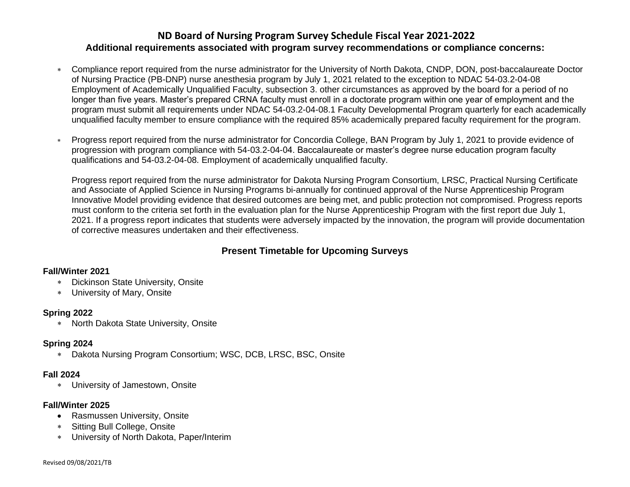### **ND Board of Nursing Program Survey Schedule Fiscal Year 2021-2022 Additional requirements associated with program survey recommendations or compliance concerns:**

- Compliance report required from the nurse administrator for the University of North Dakota, CNDP, DON, post-baccalaureate Doctor of Nursing Practice (PB-DNP) nurse anesthesia program by July 1, 2021 related to the exception to NDAC 54-03.2-04-08 Employment of Academically Unqualified Faculty, subsection 3. other circumstances as approved by the board for a period of no longer than five years. Master's prepared CRNA faculty must enroll in a doctorate program within one year of employment and the program must submit all requirements under NDAC 54-03.2-04-08.1 Faculty Developmental Program quarterly for each academically unqualified faculty member to ensure compliance with the required 85% academically prepared faculty requirement for the program.
- Progress report required from the nurse administrator for Concordia College, BAN Program by July 1, 2021 to provide evidence of progression with program compliance with 54-03.2-04-04. Baccalaureate or master's degree nurse education program faculty qualifications and 54-03.2-04-08. Employment of academically unqualified faculty.

Progress report required from the nurse administrator for Dakota Nursing Program Consortium, LRSC, Practical Nursing Certificate and Associate of Applied Science in Nursing Programs bi-annually for continued approval of the Nurse Apprenticeship Program Innovative Model providing evidence that desired outcomes are being met, and public protection not compromised. Progress reports must conform to the criteria set forth in the evaluation plan for the Nurse Apprenticeship Program with the first report due July 1, 2021. If a progress report indicates that students were adversely impacted by the innovation, the program will provide documentation of corrective measures undertaken and their effectiveness.

## **Present Timetable for Upcoming Surveys**

#### **Fall/Winter 2021**

- Dickinson State University, Onsite
- University of Mary, Onsite

#### **Spring 2022**

North Dakota State University, Onsite

#### **Spring 2024**

Dakota Nursing Program Consortium; WSC, DCB, LRSC, BSC, Onsite

#### **Fall 2024**

University of Jamestown, Onsite

#### **Fall/Winter 2025**

- Rasmussen University, Onsite
- Sitting Bull College, Onsite
- University of North Dakota, Paper/Interim